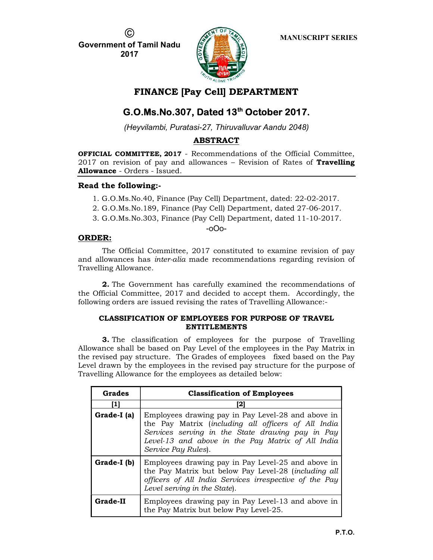C.

Government of Tamil Nadu 2017



# FINANCE [Pay Cell] DEPARTMENT

# G.O.Ms.No.307, Dated 13<sup>th</sup> October 2017.

(Heyvilambi, Puratasi-27, Thiruvalluvar Aandu 2048)

# ABSTRACT

OFFICIAL COMMITTEE, 2017 - Recommendations of the Official Committee,  $2017$  on revision of pay and allowances – Revision of Rates of **Travelling** Allowance - Orders - Issued.

## Read the following:-

- 1. G.O.Ms.No.40, Finance (Pay Cell) Department, dated: 22-02-2017.
- 2. G.O.Ms.No.189, Finance (Pay Cell) Department, dated 27-06-2017.
- 3. G.O.Ms.No.303, Finance (Pay Cell) Department, dated 11-10-2017.

## -oOo-

# ORDER:

The Official Committee, 2017 constituted to examine revision of pay and allowances has inter-alia made recommendations regarding revision of Travelling Allowance.

2. The Government has carefully examined the recommendations of the Official Committee, 2017 and decided to accept them. Accordingly, the following orders are issued revising the rates of Travelling Allowance:-

## CLASSIFICATION OF EMPLOYEES FOR PURPOSE OF TRAVEL ENTITLEMENTS

3. The classification of employees for the purpose of Travelling Allowance shall be based on Pay Level of the employees in the Pay Matrix in the revised pay structure. The Grades of employees fixed based on the Pay Level drawn by the employees in the revised pay structure for the purpose of Travelling Allowance for the employees as detailed below:

| Grades      | <b>Classification of Employees</b>                                                                                                                                                                                                        |  |  |  |  |
|-------------|-------------------------------------------------------------------------------------------------------------------------------------------------------------------------------------------------------------------------------------------|--|--|--|--|
| ш           | 2                                                                                                                                                                                                                                         |  |  |  |  |
| Grade-I (a) | Employees drawing pay in Pay Level-28 and above in<br>the Pay Matrix (including all officers of All India<br>Services serving in the State drawing pay in Pay<br>Level-13 and above in the Pay Matrix of All India<br>Service Pay Rules). |  |  |  |  |
| Grade-I (b) | Employees drawing pay in Pay Level-25 and above in<br>the Pay Matrix but below Pay Level-28 (including all<br>officers of All India Services irrespective of the Pay<br>Level serving in the State).                                      |  |  |  |  |
| Grade-II    | Employees drawing pay in Pay Level-13 and above in<br>the Pay Matrix but below Pay Level-25.                                                                                                                                              |  |  |  |  |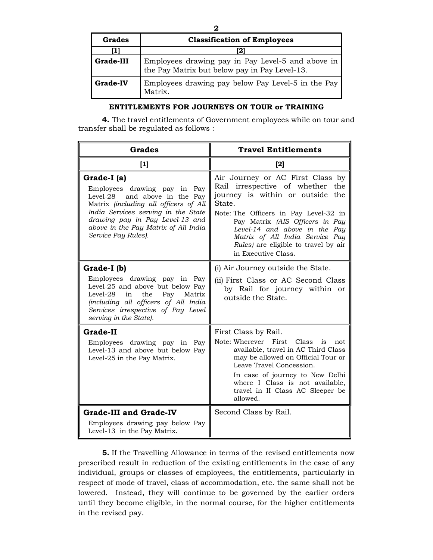| Grades          | <b>Classification of Employees</b>                                                                 |
|-----------------|----------------------------------------------------------------------------------------------------|
|                 | [2]                                                                                                |
| Grade-III       | Employees drawing pay in Pay Level-5 and above in<br>the Pay Matrix but below pay in Pay Level-13. |
| <b>Grade-IV</b> | Employees drawing pay below Pay Level-5 in the Pay<br>Matrix.                                      |

#### ENTITLEMENTS FOR JOURNEYS ON TOUR or TRAINING

4. The travel entitlements of Government employees while on tour and transfer shall be regulated as follows :

| <b>Grades</b>                                                                                                                                                                                                                                                     | <b>Travel Entitlements</b>                                                                                                                                                                                                                                                                                                              |  |  |
|-------------------------------------------------------------------------------------------------------------------------------------------------------------------------------------------------------------------------------------------------------------------|-----------------------------------------------------------------------------------------------------------------------------------------------------------------------------------------------------------------------------------------------------------------------------------------------------------------------------------------|--|--|
| $[1]$                                                                                                                                                                                                                                                             | $[2]$                                                                                                                                                                                                                                                                                                                                   |  |  |
| Grade-I (a)<br>Employees drawing pay in Pay<br>and above in the Pay<br>Level-28<br>Matrix (including all officers of All<br>India Services serving in the State<br>drawing pay in Pay Level-13 and<br>above in the Pay Matrix of All India<br>Service Pay Rules). | Air Journey or AC First Class by<br>Rail irrespective of whether<br>the<br>journey is within or outside<br>the<br>State.<br>Note: The Officers in Pay Level-32 in<br>Pay Matrix (AIS Officers in Pay<br>Level-14 and above in the Pay<br>Matrix of All India Service Pay<br>Rules) are eligible to travel by air<br>in Executive Class. |  |  |
| Grade-I (b)                                                                                                                                                                                                                                                       | (i) Air Journey outside the State.                                                                                                                                                                                                                                                                                                      |  |  |
| Employees drawing pay in Pay<br>Level-25 and above but below Pay<br>$Level-28$<br>the<br>in<br>Pay<br>Matrix<br>(including all officers of All India<br>Services irrespective of Pay Level<br>serving in the State).                                              | (ii) First Class or AC Second Class<br>by Rail for journey within or<br>outside the State.                                                                                                                                                                                                                                              |  |  |
| Grade-II<br>Employees drawing pay in Pay<br>Level-13 and above but below Pay<br>Level-25 in the Pay Matrix.                                                                                                                                                       | First Class by Rail.<br>Note: Wherever First<br>Class<br>is<br>not.<br>available, travel in AC Third Class<br>may be allowed on Official Tour or<br>Leave Travel Concession.<br>In case of journey to New Delhi<br>where I Class is not available,<br>travel in II Class AC Sleeper be<br>allowed.                                      |  |  |
| <b>Grade-III and Grade-IV</b>                                                                                                                                                                                                                                     | Second Class by Rail.                                                                                                                                                                                                                                                                                                                   |  |  |
| Employees drawing pay below Pay<br>Level-13 in the Pay Matrix.                                                                                                                                                                                                    |                                                                                                                                                                                                                                                                                                                                         |  |  |

5. If the Travelling Allowance in terms of the revised entitlements now prescribed result in reduction of the existing entitlements in the case of any individual, groups or classes of employees, the entitlements, particularly in respect of mode of travel, class of accommodation, etc. the same shall not be lowered. Instead, they will continue to be governed by the earlier orders until they become eligible, in the normal course, for the higher entitlements in the revised pay.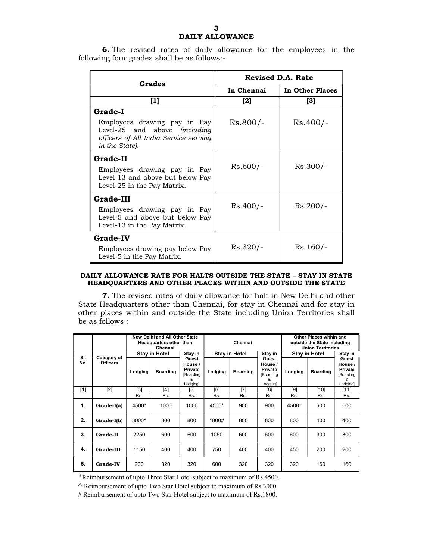# DAILY ALLOWANCE

6. The revised rates of daily allowance for the employees in the following four grades shall be as follows:-

| Grades                                                                                                                                     | <b>Revised D.A. Rate</b> |                 |  |
|--------------------------------------------------------------------------------------------------------------------------------------------|--------------------------|-----------------|--|
|                                                                                                                                            | In Chennai               | In Other Places |  |
| [1]                                                                                                                                        | [2]                      | [3]             |  |
| Grade-I<br>Employees drawing pay in Pay<br>Level-25 and above <i>(including</i><br>officers of All India Service serving<br>in the State). | $Rs.800/-$               | $Rs.400/-$      |  |
| Grade-II<br>Employees drawing pay in Pay<br>Level-13 and above but below Pay<br>Level-25 in the Pay Matrix.                                | $Rs.600/-$               | $Rs.300/-$      |  |
| Grade-III<br>Employees drawing pay in Pay<br>Level-5 and above but below Pay<br>Level-13 in the Pay Matrix.                                | $Rs.400/-$               | $Rs.200/-$      |  |
| <b>Grade-IV</b><br>Employees drawing pay below Pay<br>Level-5 in the Pay Matrix.                                                           | $Rs.320/-$               | $Rs.160/-$      |  |

#### DAILY ALLOWANCE RATE FOR HALTS OUTSIDE THE STATE – STAY IN STATE HEADQUARTERS AND OTHER PLACES WITHIN AND OUTSIDE THE STATE

7. The revised rates of daily allowance for halt in New Delhi and other State Headquarters other than Chennai, for stay in Chennai and for stay in other places within and outside the State including Union Territories shall be as follows :

|            |                                | New Delhi and All Other State<br><b>Headquarters other than</b><br>Chennai |                      |                                                                  | Chennai |                      |                                                                  |         | Other Places within and<br>outside the State including<br><b>Union Territories</b> |                                                                 |
|------------|--------------------------------|----------------------------------------------------------------------------|----------------------|------------------------------------------------------------------|---------|----------------------|------------------------------------------------------------------|---------|------------------------------------------------------------------------------------|-----------------------------------------------------------------|
|            |                                |                                                                            | <b>Stay in Hotel</b> | Stay in                                                          |         | <b>Stay in Hotel</b> | Stay in                                                          |         | <b>Stay in Hotel</b>                                                               | Stay in                                                         |
| SI.<br>No. | Category of<br><b>Officers</b> | Lodging                                                                    | <b>Boarding</b>      | Guest<br>House /<br>Private<br><b>[Boarding</b><br>ጼ<br>Lodging] | Lodging | <b>Boarding</b>      | Guest<br>House /<br>Private<br><b>[Boarding</b><br>&<br>Lodging] | Lodging | <b>Boarding</b>                                                                    | Guest<br>House /<br>Private<br><b>Boarding</b><br>ጼ<br>Lodging] |
| [1]        | $[2]$                          | [3]                                                                        | [4]                  | [5]                                                              | [6]     | [7]                  | [8]                                                              | [9]     | [10]                                                                               | [11]                                                            |
|            |                                | Rs.                                                                        | Rs.                  | Rs.                                                              | Rs.     | Rs.                  | Rs.                                                              | Rs.     | Rs.                                                                                | Rs.                                                             |
| 1.         | Grade-I(a)                     | 4500*                                                                      | 1000                 | 1000                                                             | 4500*   | 900                  | 900                                                              | 4500*   | 600                                                                                | 600                                                             |
| 2.         | Grade-I(b)                     | $3000^{\circ}$                                                             | 800                  | 800                                                              | 1800#   | 800                  | 800                                                              | 800     | 400                                                                                | 400                                                             |
| 3.         | Grade-II                       | 2250                                                                       | 600                  | 600                                                              | 1050    | 600                  | 600                                                              | 600     | 300                                                                                | 300                                                             |
| 4.         | Grade-III                      | 1150                                                                       | 400                  | 400                                                              | 750     | 400                  | 400                                                              | 450     | 200                                                                                | 200                                                             |
| 5.         | <b>Grade-IV</b>                | 900                                                                        | 320                  | 320                                                              | 600     | 320                  | 320                                                              | 320     | 160                                                                                | 160                                                             |

\*Reimbursement of upto Three Star Hotel subject to maximum of Rs.4500.

 $\land$  Reimbursement of upto Two Star Hotel subject to maximum of Rs.3000.

# Reimbursement of upto Two Star Hotel subject to maximum of Rs.1800.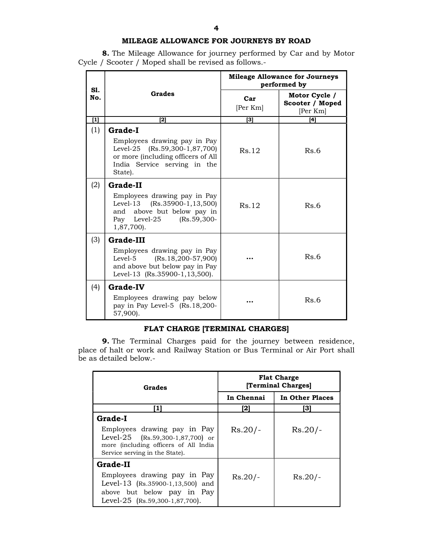### MILEAGE ALLOWANCE FOR JOURNEYS BY ROAD

8. The Mileage Allowance for journey performed by Car and by Motor Cycle / Scooter / Moped shall be revised as follows.-

|                                                                                                                                                                                                                                                     | Grades                                                                                                                                         | <b>Mileage Allowance for Journeys</b><br>performed by |                                              |  |
|-----------------------------------------------------------------------------------------------------------------------------------------------------------------------------------------------------------------------------------------------------|------------------------------------------------------------------------------------------------------------------------------------------------|-------------------------------------------------------|----------------------------------------------|--|
| S1.<br>No.                                                                                                                                                                                                                                          |                                                                                                                                                | Car<br>[Per Km]                                       | Motor Cycle /<br>Scooter / Moped<br>[Per Km] |  |
| $[1] % \includegraphics[width=0.9\columnwidth]{figures/fig_10.pdf} \caption{The graph $\mathcal{N}_1$ is a function of the number of~\textit{N}_1$ (left) and the number of~\textit{N}_2$ (right) are shown in \cite{N}_1$ (right).} \label{fig:1}$ | [2]                                                                                                                                            | 3                                                     | [4]                                          |  |
| (1)                                                                                                                                                                                                                                                 | Grade-I                                                                                                                                        |                                                       |                                              |  |
|                                                                                                                                                                                                                                                     | Employees drawing pay in Pay<br>Level-25 (Rs.59,300-1,87,700)<br>or more (including officers of All<br>India Service serving in the<br>State). | Rs.12                                                 | Rs.6                                         |  |
| (2)                                                                                                                                                                                                                                                 | Grade-II                                                                                                                                       |                                                       |                                              |  |
|                                                                                                                                                                                                                                                     | Employees drawing pay in Pay<br>$(Rs.35900-1, 13, 500)$<br>Level-13<br>and above but below pay in<br>Pay Level-25 (Rs.59,300-<br>1,87,700).    | Rs.12                                                 | Rs.6                                         |  |
| (3)                                                                                                                                                                                                                                                 | Grade-III                                                                                                                                      |                                                       |                                              |  |
|                                                                                                                                                                                                                                                     | Employees drawing pay in Pay<br>$(Rs.18, 200-57, 900)$<br>Level-5<br>and above but below pay in Pay<br>Level-13 (Rs.35900-1,13,500).           |                                                       | Rs.6                                         |  |
| (4)                                                                                                                                                                                                                                                 | <b>Grade-IV</b>                                                                                                                                |                                                       |                                              |  |
|                                                                                                                                                                                                                                                     | Employees drawing pay below<br>pay in Pay Level-5 (Rs.18,200-<br>57,900).                                                                      |                                                       | Rs.6                                         |  |

# FLAT CHARGE [TERMINAL CHARGES]

9. The Terminal Charges paid for the journey between residence, place of halt or work and Railway Station or Bus Terminal or Air Port shall be as detailed below.-

| Grades                                                                                                                                                 | <b>Flat Charge</b><br>[Terminal Charges] |                 |  |
|--------------------------------------------------------------------------------------------------------------------------------------------------------|------------------------------------------|-----------------|--|
|                                                                                                                                                        | In Chennai                               | In Other Places |  |
| 11                                                                                                                                                     | [2]                                      | [3]             |  |
| Grade-I                                                                                                                                                |                                          |                 |  |
| Employees drawing pay in Pay<br>Level-25 $(Rs.59,300-1,87,700)$ or<br>more <i>(including officers of All India</i> )<br>Service serving in the State). | $Rs.20/-$                                | $Rs.20/-$       |  |
| Grade-II                                                                                                                                               |                                          |                 |  |
| Employees drawing pay in Pay<br>Level-13 (Rs.35900-1,13,500) and<br>above but below pay in Pay<br>Level-25 (Rs.59,300-1,87,700).                       | $Rs.20/-$                                | $Rs.20/-$       |  |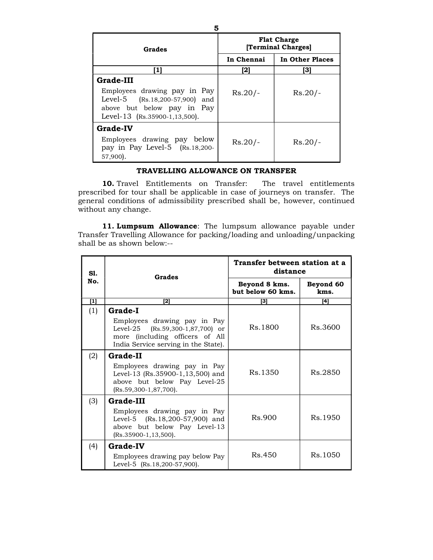| Grades                                                                                                                                     | <b>Flat Charge</b><br>[Terminal Charges] |                 |  |
|--------------------------------------------------------------------------------------------------------------------------------------------|------------------------------------------|-----------------|--|
|                                                                                                                                            | In Chennai                               | In Other Places |  |
|                                                                                                                                            | [2]                                      | 31              |  |
| Grade-III<br>Employees drawing pay in Pay<br>Level-5 (Rs.18,200-57,900) and<br>above but below pay in Pay<br>Level-13 (Rs.35900-1,13,500). | $Rs.20/-$                                | $Rs.20/-$       |  |
| <b>Grade-IV</b><br>Employees drawing pay below<br>pay in Pay Level-5 $(Rs.18,200-$<br>$57,900$ .                                           | $Rs.20/-$                                | $Rs.20/-$       |  |

### TRAVELLING ALLOWANCE ON TRANSFER

10. Travel Entitlements on Transfer: The travel entitlements prescribed for tour shall be applicable in case of journeys on transfer. The general conditions of admissibility prescribed shall be, however, continued without any change.

11. Lumpsum Allowance: The lumpsum allowance payable under Transfer Travelling Allowance for packing/loading and unloading/unpacking shall be as shown below:--

| SI.   | <b>Grades</b>                                                                                                                                                 | Transfer between station at a<br>distance |                   |  |
|-------|---------------------------------------------------------------------------------------------------------------------------------------------------------------|-------------------------------------------|-------------------|--|
| No.   |                                                                                                                                                               | Beyond 8 kms.<br>but below 60 kms.        | Beyond 60<br>kms. |  |
| $[1]$ | [2]                                                                                                                                                           | [3]                                       | [4]               |  |
| (1)   | <b>Grade-I</b><br>Employees drawing pay in Pay<br>Level-25 (Rs.59,300-1,87,700) or<br>more (including officers of All<br>India Service serving in the State). | Rs.1800                                   | Rs.3600           |  |
| (2)   | Grade-II<br>Employees drawing pay in Pay<br>Level-13 (Rs.35900-1,13,500) and<br>above but below Pay Level-25<br>(Rs.59,300-1,87,700).                         | Rs.1350                                   | Rs.2850           |  |
| (3)   | Grade-III<br>Employees drawing pay in Pay<br>Level-5 (Rs.18,200-57,900) and<br>above but below Pay Level-13<br>$(Rs.35900-1, 13, 500).$                       | Rs.900                                    | Rs. 1950          |  |
| (4)   | <b>Grade-IV</b><br>Employees drawing pay below Pay<br>Level-5 (Rs.18,200-57,900).                                                                             | Rs.450                                    | Rs.1050           |  |

5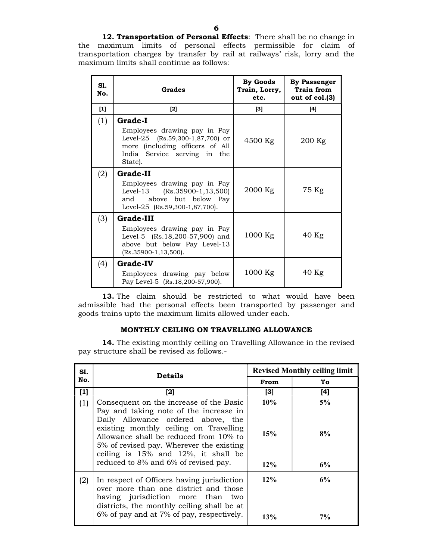12. Transportation of Personal Effects: There shall be no change in the maximum limits of personal effects permissible for claim of transportation charges by transfer by rail at railways' risk, lorry and the maximum limits shall continue as follows:

| S1.<br>No. | Grades                                                                                                                                           | By Goods<br>Train, Lorry,<br>etc. | <b>By Passenger</b><br><b>Train from</b><br>out of col.(3) |
|------------|--------------------------------------------------------------------------------------------------------------------------------------------------|-----------------------------------|------------------------------------------------------------|
| $[1]$      | $[2]$                                                                                                                                            | $\left[3\right]$                  | [4]                                                        |
| (1)        | <b>Grade-I</b>                                                                                                                                   |                                   |                                                            |
|            | Employees drawing pay in Pay<br>Level-25 $(Rs.59,300-1,87,700)$ or<br>more (including officers of All<br>India Service serving in the<br>State). | 4500 Kg                           | 200 Kg                                                     |
| (2)        | Grade-II                                                                                                                                         |                                   |                                                            |
|            | Employees drawing pay in Pay<br>Level-13 (Rs.35900-1,13,500)<br>above but below Pay<br>and<br>Level-25 (Rs.59,300-1,87,700).                     | 2000 Kg                           | 75 Kg                                                      |
| (3)        | <b>Grade-III</b>                                                                                                                                 |                                   |                                                            |
|            | Employees drawing pay in Pay<br>Level-5 (Rs.18,200-57,900) and<br>above but below Pay Level-13<br>$(Rs.35900-1, 13, 500).$                       | 1000 Kg                           | $40$ Kg                                                    |
| (4)        | <b>Grade-IV</b>                                                                                                                                  |                                   |                                                            |
|            | Employees drawing pay below<br>Pay Level-5 (Rs.18,200-57,900).                                                                                   | $1000$ Kg                         | 40 Kg                                                      |

13. The claim should be restricted to what would have been admissible had the personal effects been transported by passenger and goods trains upto the maximum limits allowed under each.

### MONTHLY CEILING ON TRAVELLING ALLOWANCE

14. The existing monthly ceiling on Travelling Allowance in the revised pay structure shall be revised as follows.-

| No.<br>[1]<br>(1) | <b>Details</b>                                                                                                                                                                                                                                                                                        |               | <b>Revised Monthly ceiling limit</b> |
|-------------------|-------------------------------------------------------------------------------------------------------------------------------------------------------------------------------------------------------------------------------------------------------------------------------------------------------|---------------|--------------------------------------|
|                   |                                                                                                                                                                                                                                                                                                       | From          | To                                   |
|                   | [2]                                                                                                                                                                                                                                                                                                   | [3]           | [4]                                  |
|                   | Consequent on the increase of the Basic<br>Pay and taking note of the increase in<br>Daily Allowance ordered above, the<br>existing monthly ceiling on Travelling<br>Allowance shall be reduced from 10% to<br>5% of revised pay. Wherever the existing<br>ceiling is $15\%$ and $12\%$ , it shall be | $10\%$<br>15% | 5%<br>8%                             |
|                   | reduced to 8% and 6% of revised pay.                                                                                                                                                                                                                                                                  | $12\%$        | 6%                                   |
| (2)               | In respect of Officers having jurisdiction<br>over more than one district and those<br>having jurisdiction more than<br>two<br>districts, the monthly ceiling shall be at<br>6% of pay and at 7% of pay, respectively.                                                                                | $12\%$<br>13% | 6%<br>7%                             |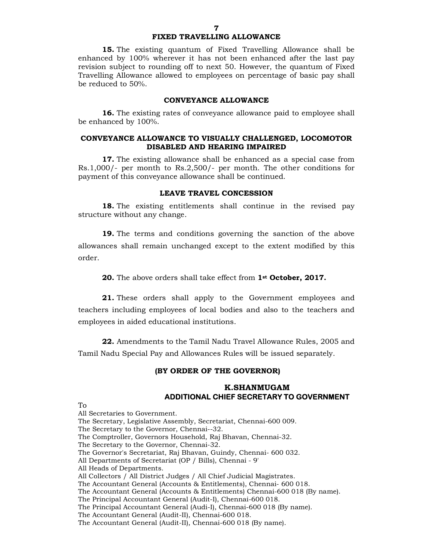# FIXED TRAVELLING ALLOWANCE

15. The existing quantum of Fixed Travelling Allowance shall be enhanced by 100% wherever it has not been enhanced after the last pay revision subject to rounding off to next 50. However, the quantum of Fixed Travelling Allowance allowed to employees on percentage of basic pay shall be reduced to 50%.

#### CONVEYANCE ALLOWANCE

16. The existing rates of conveyance allowance paid to employee shall be enhanced by 100%.

#### CONVEYANCE ALLOWANCE TO VISUALLY CHALLENGED, LOCOMOTOR DISABLED AND HEARING IMPAIRED

17. The existing allowance shall be enhanced as a special case from Rs.1,000/- per month to Rs.2,500/- per month. The other conditions for payment of this conveyance allowance shall be continued.

#### LEAVE TRAVEL CONCESSION

18. The existing entitlements shall continue in the revised pay structure without any change.

19. The terms and conditions governing the sanction of the above allowances shall remain unchanged except to the extent modified by this order.

20. The above orders shall take effect from 1<sup>st</sup> October, 2017.

21. These orders shall apply to the Government employees and teachers including employees of local bodies and also to the teachers and employees in aided educational institutions.

22. Amendments to the Tamil Nadu Travel Allowance Rules, 2005 and Tamil Nadu Special Pay and Allowances Rules will be issued separately.

### (BY ORDER OF THE GOVERNOR)

### K.SHANMUGAM ADDITIONAL CHIEF SECRETARY TO GOVERNMENT

To

All Secretaries to Government. The Secretary, Legislative Assembly, Secretariat, Chennai-600 009. The Secretary to the Governor, Chennai--32. The Comptroller, Governors Household, Raj Bhavan, Chennai-32. The Secretary to the Governor, Chennai-32. The Governor's Secretariat, Raj Bhavan, Guindy, Chennai- 600 032. All Departments of Secretariat (OP / Bills), Chennai - 9' All Heads of Departments. All Collectors / All District Judges / All Chief Judicial Magistrates. The Accountant General (Accounts & Entitlements), Chennai- 600 018. The Accountant General (Accounts & Entitlements) Chennai-600 018 (By name). The Principal Accountant General (Audit-I), Chennai-600 018. The Principal Accountant General (Audi-I), Chennai-600 018 (By name). The Accountant General (Audit-II), Chennai-600 018.

The Accountant General (Audit-II), Chennai-600 018 (By name).